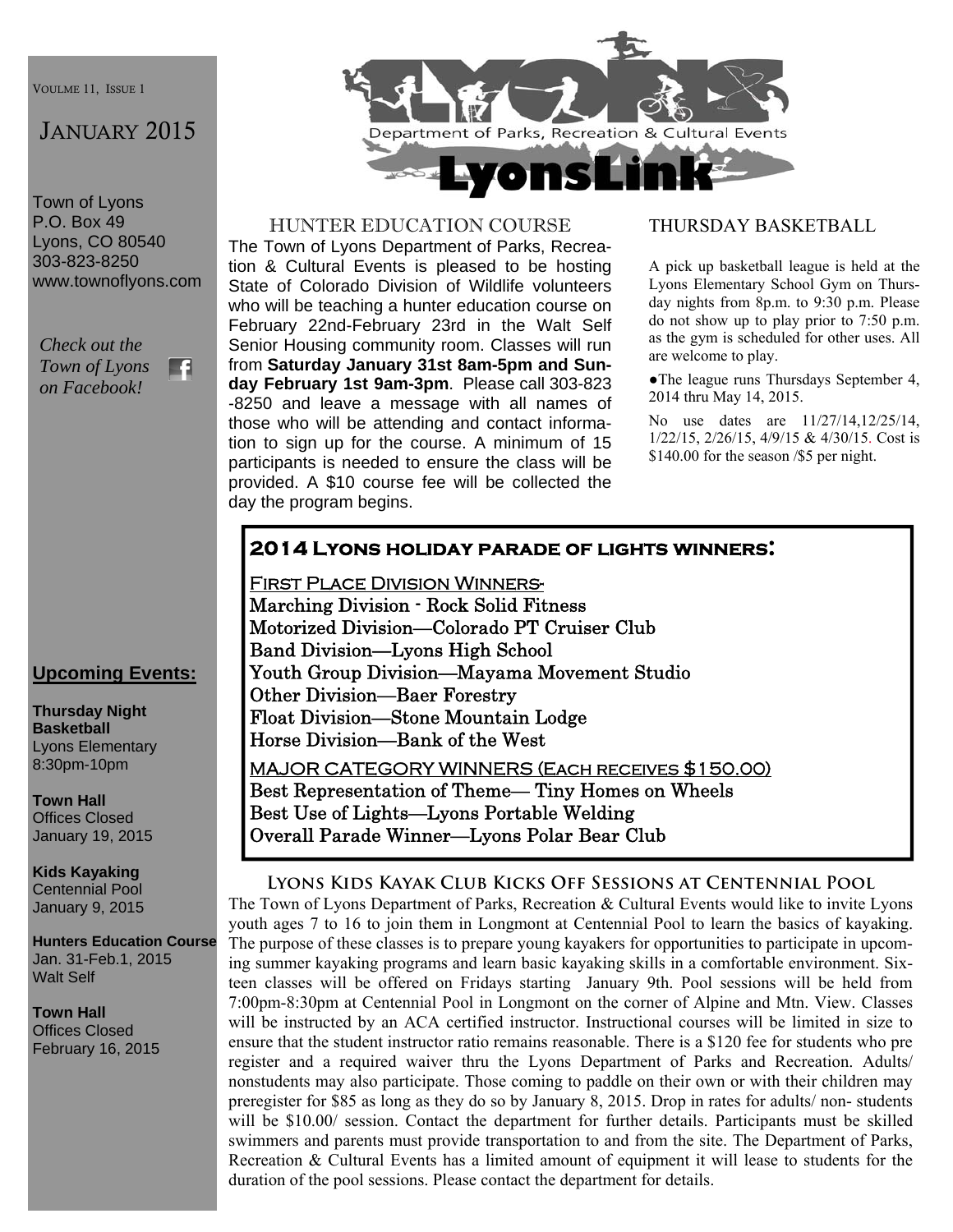VOULME 11, ISSUE 1

# JANUARY 2015

Town of Lyons P.O. Box 49 Lyons, CO 80540 303-823-8250 www.townoflyons.com

*Check out the Town of Lyons*  F. *on Facebook!* 



#### HUNTER EDUCATION COURSE

The Town of Lyons Department of Parks, Recreation & Cultural Events is pleased to be hosting State of Colorado Division of Wildlife volunteers who will be teaching a hunter education course on February 22nd-February 23rd in the Walt Self Senior Housing community room. Classes will run from **Saturday January 31st 8am-5pm and Sunday February 1st 9am-3pm**. Please call 303-823 -8250 and leave a message with all names of those who will be attending and contact information to sign up for the course. A minimum of 15 participants is needed to ensure the class will be provided. A \$10 course fee will be collected the day the program begins.

#### THURSDAY BASKETBALL

A pick up basketball league is held at the Lyons Elementary School Gym on Thursday nights from 8p.m. to 9:30 p.m. Please do not show up to play prior to 7:50 p.m. as the gym is scheduled for other uses. All are welcome to play.

●The league runs Thursdays September 4, 2014 thru May 14, 2015.

No use dates are 11/27/14,12/25/14, 1/22/15, 2/26/15, 4/9/15 & 4/30/15. Cost is \$140.00 for the season /\$5 per night.

### **2014 Lyons holiday parade of lights winners:**

First Place Division Winners-Marching Division - Rock Solid Fitness Motorized Division—Colorado PT Cruiser Club Band Division—Lyons High School Youth Group Division—Mayama Movement Studio Other Division—Baer Forestry Float Division—Stone Mountain Lodge Horse Division—Bank of the West MAJOR CATEGORY WINNERS (Each receives \$150.00) Best Representation of Theme— Tiny Homes on Wheels Best Use of Lights—Lyons Portable Welding

Overall Parade Winner—Lyons Polar Bear Club

#### **Lyons Kids Kayak Club Kicks Off Sessions at Centennial Pool**

The Town of Lyons Department of Parks, Recreation & Cultural Events would like to invite Lyons youth ages 7 to 16 to join them in Longmont at Centennial Pool to learn the basics of kayaking. The purpose of these classes is to prepare young kayakers for opportunities to participate in upcoming summer kayaking programs and learn basic kayaking skills in a comfortable environment. Sixteen classes will be offered on Fridays starting January 9th. Pool sessions will be held from 7:00pm-8:30pm at Centennial Pool in Longmont on the corner of Alpine and Mtn. View. Classes will be instructed by an ACA certified instructor. Instructional courses will be limited in size to ensure that the student instructor ratio remains reasonable. There is a \$120 fee for students who pre register and a required waiver thru the Lyons Department of Parks and Recreation. Adults/ nonstudents may also participate. Those coming to paddle on their own or with their children may preregister for \$85 as long as they do so by January 8, 2015. Drop in rates for adults/ non- students will be \$10.00/ session. Contact the department for further details. Participants must be skilled swimmers and parents must provide transportation to and from the site. The Department of Parks, Recreation & Cultural Events has a limited amount of equipment it will lease to students for the duration of the pool sessions. Please contact the department for details.

### **Upcoming Events:**

**Thursday Night Basketball**  Lyons Elementary 8:30pm-10pm

**Town Hall**  Offices Closed January 19, 2015

**Kids Kayaking**  Centennial Pool January 9, 2015

**Hunters Education Course**  Jan. 31-Feb.1, 2015 Walt Self

**Town Hall**  Offices Closed February 16, 2015